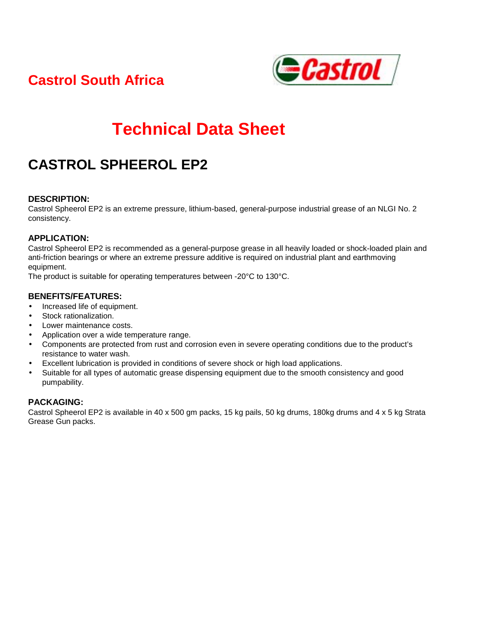**Castrol South Africa** 



# **Technical Data Sheet**

## **CASTROL SPHEEROL EP2**

#### **DESCRIPTION:**

Castrol Spheerol EP2 is an extreme pressure, lithium-based, general-purpose industrial grease of an NLGI No. 2 consistency.

#### **APPLICATION:**

Castrol Spheerol EP2 is recommended as a general-purpose grease in all heavily loaded or shock-loaded plain and anti-friction bearings or where an extreme pressure additive is required on industrial plant and earthmoving equipment.

The product is suitable for operating temperatures between -20°C to 130°C.

#### **BENEFITS/FEATURES:**

- Increased life of equipment.
- Stock rationalization.
- Lower maintenance costs.
- Application over a wide temperature range.
- Components are protected from rust and corrosion even in severe operating conditions due to the product's resistance to water wash.
- Excellent lubrication is provided in conditions of severe shock or high load applications.
- Suitable for all types of automatic grease dispensing equipment due to the smooth consistency and good pumpability.

#### **PACKAGING:**

Castrol Spheerol EP2 is available in 40 x 500 gm packs, 15 kg pails, 50 kg drums, 180kg drums and 4 x 5 kg Strata Grease Gun packs.